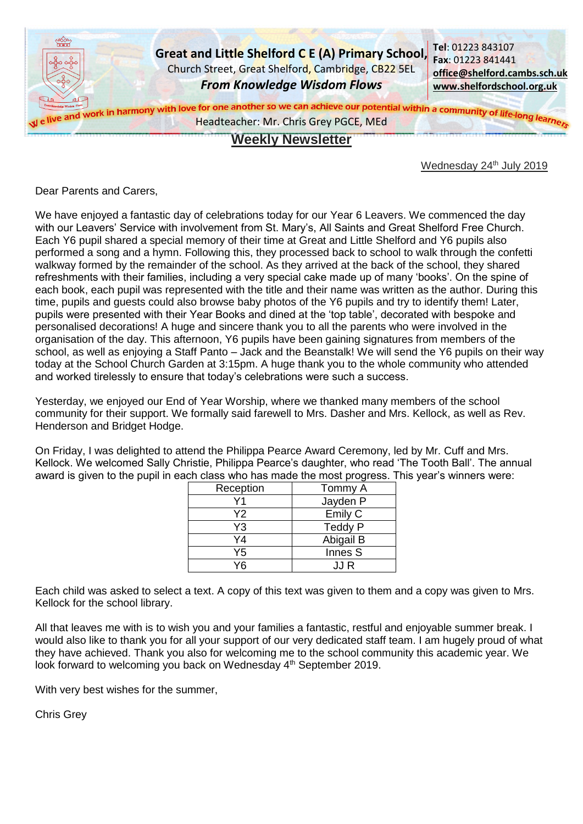

## **Weekly Newsletter**

Wednesday 24<sup>th</sup> July 2019

Dear Parents and Carers,

We have enjoyed a fantastic day of celebrations today for our Year 6 Leavers. We commenced the day with our Leavers' Service with involvement from St. Mary's, All Saints and Great Shelford Free Church. Each Y6 pupil shared a special memory of their time at Great and Little Shelford and Y6 pupils also performed a song and a hymn. Following this, they processed back to school to walk through the confetti walkway formed by the remainder of the school. As they arrived at the back of the school, they shared refreshments with their families, including a very special cake made up of many 'books'. On the spine of each book, each pupil was represented with the title and their name was written as the author. During this time, pupils and guests could also browse baby photos of the Y6 pupils and try to identify them! Later, pupils were presented with their Year Books and dined at the 'top table', decorated with bespoke and personalised decorations! A huge and sincere thank you to all the parents who were involved in the organisation of the day. This afternoon, Y6 pupils have been gaining signatures from members of the school, as well as enjoying a Staff Panto – Jack and the Beanstalk! We will send the Y6 pupils on their way today at the School Church Garden at 3:15pm. A huge thank you to the whole community who attended and worked tirelessly to ensure that today's celebrations were such a success.

Yesterday, we enjoyed our End of Year Worship, where we thanked many members of the school community for their support. We formally said farewell to Mrs. Dasher and Mrs. Kellock, as well as Rev. Henderson and Bridget Hodge.

On Friday, I was delighted to attend the Philippa Pearce Award Ceremony, led by Mr. Cuff and Mrs. Kellock. We welcomed Sally Christie, Philippa Pearce's daughter, who read 'The Tooth Ball'. The annual award is given to the pupil in each class who has made the most progress. This year's winners were:

| Reception | Tommy A   |
|-----------|-----------|
|           | Jayden P  |
| Υ2        | Emily C   |
| Y3        | Teddy P   |
| Y4        | Abigail B |
| Y5        | Innes S   |
|           | .I.I R    |

Each child was asked to select a text. A copy of this text was given to them and a copy was given to Mrs. Kellock for the school library.

All that leaves me with is to wish you and your families a fantastic, restful and enjoyable summer break. I would also like to thank you for all your support of our very dedicated staff team. I am hugely proud of what they have achieved. Thank you also for welcoming me to the school community this academic year. We look forward to welcoming you back on Wednesday 4<sup>th</sup> September 2019.

With very best wishes for the summer,

Chris Grey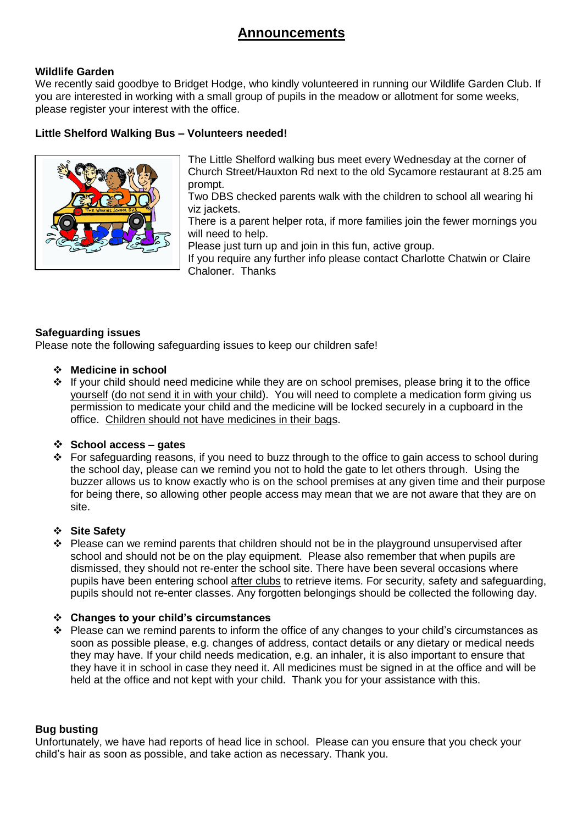# **Announcements**

## **Wildlife Garden**

We recently said goodbye to Bridget Hodge, who kindly volunteered in running our Wildlife Garden Club. If you are interested in working with a small group of pupils in the meadow or allotment for some weeks, please register your interest with the office.

## **Little Shelford Walking Bus – Volunteers needed!**



The Little Shelford walking bus meet every Wednesday at the corner of Church Street/Hauxton Rd next to the old Sycamore restaurant at 8.25 am prompt.

Two DBS checked parents walk with the children to school all wearing hi viz jackets.

There is a parent helper rota, if more families join the fewer mornings you will need to help.

Please just turn up and join in this fun, active group.

If you require any further info please contact Charlotte Chatwin or Claire Chaloner. Thanks

#### **Safeguarding issues**

Please note the following safeguarding issues to keep our children safe!

- **Medicine in school**
- $\cdot \cdot$  If your child should need medicine while they are on school premises, please bring it to the office yourself (do not send it in with your child). You will need to complete a medication form giving us permission to medicate your child and the medicine will be locked securely in a cupboard in the office. Children should not have medicines in their bags.

#### **School access – gates**

 For safeguarding reasons, if you need to buzz through to the office to gain access to school during the school day, please can we remind you not to hold the gate to let others through. Using the buzzer allows us to know exactly who is on the school premises at any given time and their purpose for being there, so allowing other people access may mean that we are not aware that they are on site.

#### **Site Safety**

 $\cdot \cdot$  Please can we remind parents that children should not be in the playground unsupervised after school and should not be on the play equipment. Please also remember that when pupils are dismissed, they should not re-enter the school site. There have been several occasions where pupils have been entering school after clubs to retrieve items. For security, safety and safeguarding, pupils should not re-enter classes. Any forgotten belongings should be collected the following day.

#### **Changes to your child's circumstances**

\* Please can we remind parents to inform the office of any changes to your child's circumstances as soon as possible please, e.g. changes of address, contact details or any dietary or medical needs they may have. If your child needs medication, e.g. an inhaler, it is also important to ensure that they have it in school in case they need it. All medicines must be signed in at the office and will be held at the office and not kept with your child. Thank you for your assistance with this.

#### **Bug busting**

Unfortunately, we have had reports of head lice in school. Please can you ensure that you check your child's hair as soon as possible, and take action as necessary. Thank you.